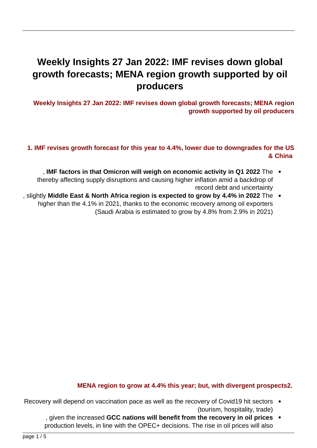# **Weekly Insights 27 Jan 2022: IMF revises down global** growth forecasts; MENA region growth supported by oil **producers**

**Weekly Insights 27 Jan 2022: IMF revises down global growth forecasts; MENA region** growth supported by oil producers

## 1. IMF revises growth forecast for this year to 4.4%, lower due to downgrades for the US  **China&**

- . IMF factors in that Omicron will weigh on economic activity in Q1 2022 The  $\bullet$ thereby affecting supply disruptions and causing higher inflation amid a backdrop of record debt and uncertainty
- slightly Middle East & North Africa region is expected to grow by 4.4% in 2022 The . higher than the 4.1% in 2021, thanks to the economic recovery among oil exporters (Saudi Arabia is estimated to grow by 4.8% from 2.9% in 2021)



#### Global economic growth expected to moderate to 4.4% in 2022 (from 5.9% in 2021): IMF

Source: IMF World Economic Outlook, Jan 2022. Chart by Nasser Saidi & Associates

#### **MENA** region to grow at 4.4% this year; but, with divergent prospects2.

- Recovery will depend on vaccination pace as well as the recovery of Covid19 hit sectors (tourism, hospitality, trade)
	- **prices on the increased GCC nations will benefit from the recovery in oil prices** production levels, in line with the OPEC+ decisions. The rise in oil prices will also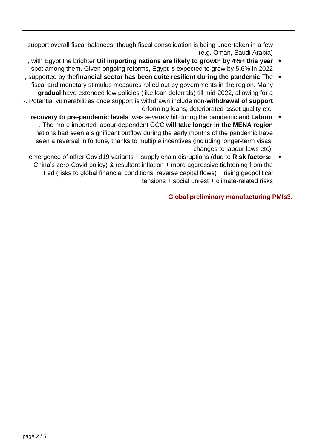support overall fiscal balances, though fiscal consolidation is being undertaken in a few (e.g. Oman, Saudi Arabia)

- , with Egypt the brighter Oil importing nations are likely to growth by 4%+ this year spot among them. Given ongoing reforms, Egypt is expected to grow by 5.6% in 2022
- , supported by the financial sector has been quite resilient during the pandemic The fiscal and monetary stimulus measures rolled out by governments in the region. Many gradual have extended few policies (like loan deferrals) till mid-2022, allowing for a -. Potential vulnerabilities once support is withdrawn include non-withdrawal of support erforming loans, deteriorated asset quality etc.
	- **recovery to pre-pandemic levels** was severely hit during the pandemic and Labour  $\bullet$ . The more imported labour-dependent GCC will take longer in the MENA region nations had seen a significant outflow during the early months of the pandemic have seen a reversal in fortune, thanks to multiple incentives (including longer-term visas, changes to labour laws etc).
	- **emergence of other Covid19 variants + supply chain disruptions (due to Risk factors:** China's zero-Covid policy) & resultant inflation + more aggressive tightening from the Fed (risks to global financial conditions, reverse capital flows) + rising geopolitical  $t$ ensions + social unrest + climate-related risks

## **Global preliminary manufacturing PMIs3.**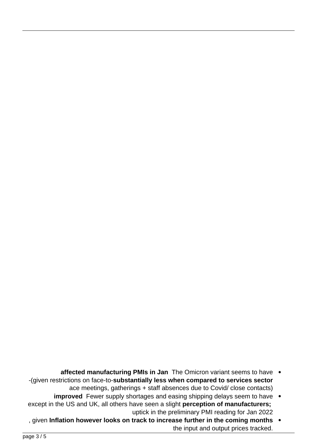|               | US   | Germany | EU   | UK   | Japan | China | India |
|---------------|------|---------|------|------|-------|-------|-------|
| <b>Jan-19</b> | 54.9 | 49.7    | 50.6 | 52.8 | 50.3  | 48.3  | 53.9  |
| <b>Feb-19</b> | 53.0 | 47.6    | 49.5 | 52.1 | 48.9  | 49.9  | 54.3  |
| <b>Mar-19</b> | 52.4 | 44.1    | 48.3 | 55.1 | 49.2  | 50.8  | 52.6  |
| Apr-19        | 52.6 | 44.4    | 48.4 | 53.1 | 50.2  | 50.2  | 51.8  |
| <b>May-19</b> | 50.5 | 44.3    | 47.9 | 49.4 | 49.8  | 50.2  | 52.7  |
| <b>Jun-19</b> | 50.6 | 45.0    | 47.6 | 48.0 | 49.3  | 49.4  | 52.1  |
| <b>Jul-19</b> | 50.4 | 43.2    | 46.6 | 48.0 | 49.4  | 49.9  | 52.5  |
| <b>Aug-19</b> | 50.3 | 43.5    | 47.1 | 47.4 | 49.3  | 50.4  | 51.4  |
| $Sep-19$      | 51.1 | 41.7    | 46.0 | 48.3 | 48.9  | 51.4  | 51.4  |
| <b>Oct-19</b> | 51.3 | 42.1    | 46.2 | 49.6 | 48.4  | 51.7  | 50.6  |
| <b>Nov-19</b> | 52.6 | 44.1    | 47.0 | 48.9 | 48.9  | 51.8  | 51.2  |
| <b>Dec-19</b> | 52.4 | 43.7    | 46.4 | 47.5 | 48.4  | 51.5  | 52.7  |
| $Jan-20$      | 51.9 | 45.3    | 48.1 | 50.0 | 48.8  | 51.1  | 55.3  |
| <b>Feb-20</b> | 50.7 | 48.0    | 49.1 | 51.7 | 47.8  | 40.3  | 54.5  |
| Mar-20        | 48.5 | 45.4    | 44.3 | 47.8 | 44.8  | 50.1  | 51.8  |
| Apr-20        | 36.1 | 34.5    | 33.4 | 32.6 | 41.9  | 49.4  | 27.4  |
| $May-20$      | 39.8 | 36.6    | 39.5 | 40.7 | 38.4  | 50.7  | 30.8  |
| $Jun-20$      | 49.8 | 45.2    | 47.4 | 50.1 | 40.1  | 51.2  | 47.2  |
| $Jul-20$      | 50.9 | 51.0    | 51.7 | 53.3 | 45.2  | 52.8  | 46.0  |
| Aug- $20$     | 53.1 | 52.2    | 51.6 | 55.2 | 47.2  | 53.1  | 52.0  |
| $Sep-20$      | 53.2 | 56.4    | 53.5 | 54.1 | 47.7  | 53.0  | 56.8  |
| <b>Oct-20</b> | 53.4 | 58.2    | 54.8 | 53.7 | 48.7  | 53.6  | 58.9  |
| $Nov-20$      | 56.7 | 57.8    | 53.8 | 55.6 | 49.0  | 54.9  | 56.3  |
| <b>Dec-20</b> | 57.1 | 58.3    | 55.2 | 57.5 | 50.0  | 53.0  | 56.4  |
| $Jan-21$      | 59.2 | 57.1    | 54.8 | 54.1 | 49.8  | 51.5  | 57.7  |
| <b>Feb-21</b> | 58.6 | 60.7    | 57.9 | 55.1 | 51.4  | 50.9  | 57.5  |
| <b>Mar-21</b> | 59.1 | 66.6    | 62.5 | 58.9 | 52.7  | 50.6  | 55.4  |
| Apr-21        | 60.5 | 66.2    | 62.9 | 60.9 | 53.6  | 51.9  | 55.5  |
| $May-21$      | 62.1 | 64.4    | 63.1 | 65.6 | 53.0  | 52.0  | 50.8  |
| $Jun-21$      | 62.1 | 65.1    | 63.4 | 63.9 | 52.4  | 51.3  | 48.1  |
| <b>Jul-21</b> | 63.4 | 65.9    | 62.8 | 60.4 | 53.0  | 50.3  | 55.3  |
| Aug- $21$     | 61.1 | 62.6    | 61.4 | 60.3 | 52.7  | 49.2  | 52.3  |
| $Sep-21$      | 60.7 | 58.4    | 58.6 | 57.1 | 51.5  | 50.0  | 53.7  |
| $Oct-21$      | 58.4 | 57.8    | 58.3 | 57.8 | 53.2  | 50.6  | 55.9  |
| $Nov-21$      | 58.3 | 57.4    | 58.4 | 58.1 | 54.5  | 49.9  | 57.6  |
| <b>Dec-21</b> | 56.7 | 57.4    | 58.0 | 57.9 | 54.3  | 50.9  | 55.5  |
| $Jan-22$      | 55.0 | 60.5    | 59.0 | 56.9 | 54.6  |       |       |

## **Heatmap of Manufacturing PMIs**

Source: Refinitiv Datastream, Nasser Saidi & Associates

- **affected manufacturing PMIs in Jan** The Omicron variant seems to have . -(given restrictions on face-to-substantially less when compared to services sector ace meetings, gatherings + staff absences due to Covid/ close contacts)
- improved Fewer supply shortages and easing shipping delays seem to have . except in the US and UK, all others have seen a slight **perception of manufacturers;** uptick in the preliminary PMI reading for Jan 2022
- , given Inflation however looks on track to increase further in the coming months . the input and output prices tracked.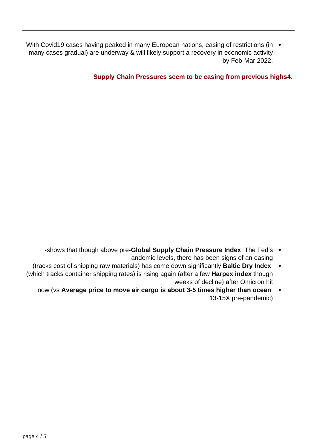With Covid19 cases having peaked in many European nations, easing of restrictions (in  $\bullet$ many cases gradual) are underway & will likely support a recovery in economic activity by Feb-Mar 2022.



## **Supply Chain Pressures seem to be easing from previous highs4.**

## **Global Supply Chain Pressure Index**

**Source: Federal Reserve Bank of New York.** 

- -shows that though above pre-**Global Supply Chain Pressure Index** The Fed's andemic levels, there has been signs of an easing
- (tracks cost of shipping raw materials) has come down significantly **Baltic Dry Index** (which tracks container shipping rates) is rising again (after a few **Harpex index** though weeks of decline) after Omicron hit
	- now (vs Average price to move air cargo is about 3-5 times higher than ocean 13-15X pre-pandemic)



Source: Cargo Chartbook Q4 2021, IATA Economics